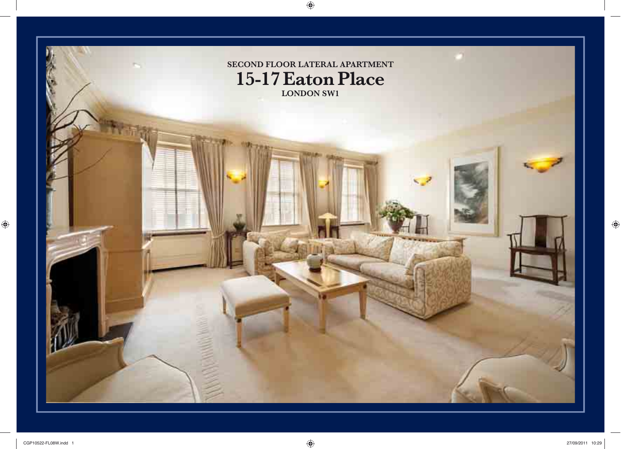

 $\bigoplus$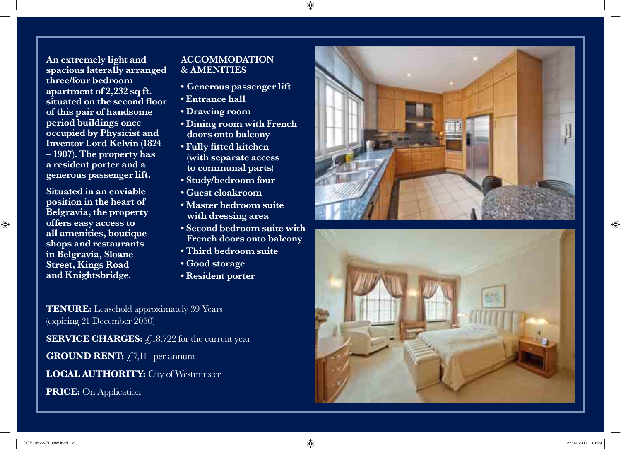**An extremely light and spacious laterally arranged three/four bedroom apartment of 2,232 sq ft.**   $\boldsymbol{\mathrm{s}}$  ituated on the second floor **of this pair of handsome period buildings once occupied by Physicist and Inventor Lord Kelvin (1824 – 1907). The property has a resident porter and a generous passenger lift.** 

**Situated in an enviable position in the heart of Belgravia, the property offers easy access to all amenities, boutique shops and restaurants in Belgravia, Sloane Street, Kings Road and Knightsbridge.**

## **ACCOMMODATION & AMENITIES**

**• Generous passenger lift**

◈

- **Entrance hall**
- **Drawing room**
- **Dining room with French doors onto balcony**
- **Fully fi tted kitchen (with separate access to communal parts)**
- **Study/bedroom four**
- **Guest cloakroom**
- **Master bedroom suite with dressing area**
- **Second bedroom suite with French doors onto balcony**
- **Third bedroom suite**
- **Good storage**
- **Resident porter**

**TENURE:** Leasehold approximately 39 Years (expiring 21 December 2050)

**SERVICE CHARGES:**  $\mathcal{L}$ 18,722 for the current year

**GROUND RENT:**  $\vec{\textbf{f}}$ ,7,111 per annum

**LOCAL AUTHORITY:** City of Westminster

**PRICE:** On Application





CGP10522-FL08W.indd 2

◈

27/09/2011 10:29

◈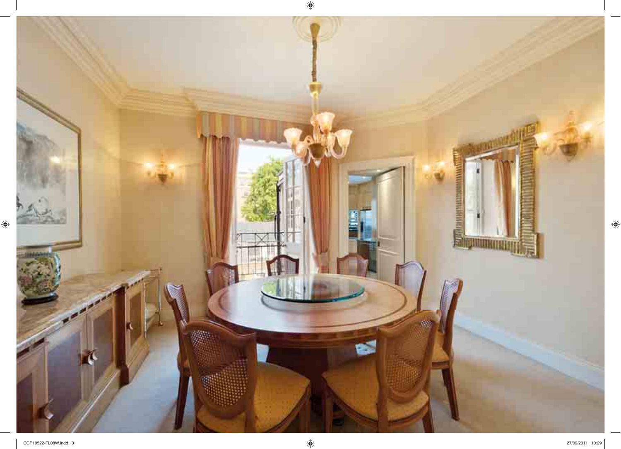